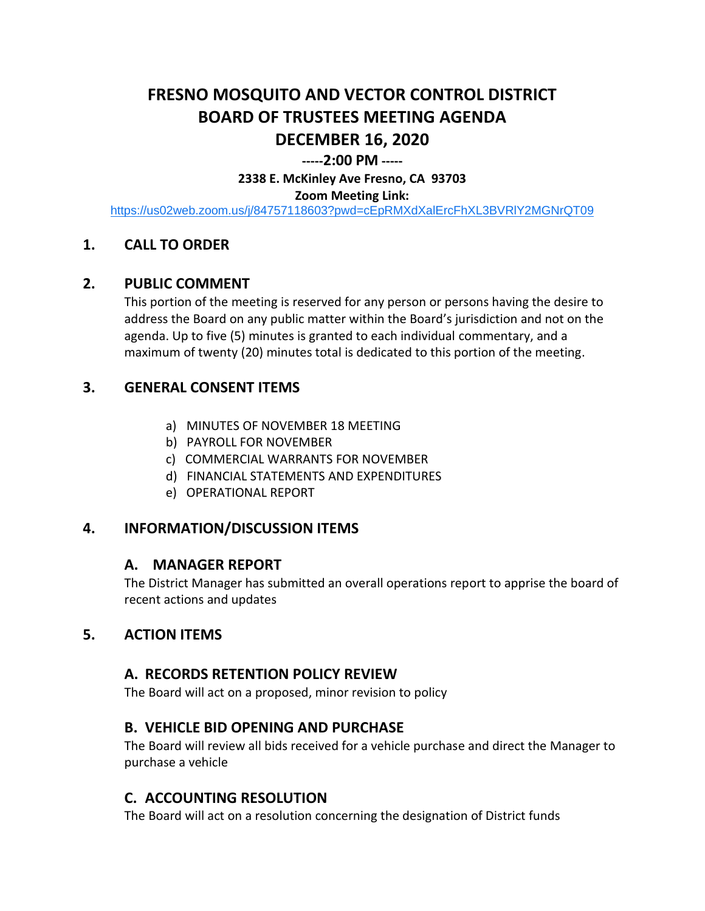# **FRESNO MOSQUITO AND VECTOR CONTROL DISTRICT BOARD OF TRUSTEES MEETING AGENDA DECEMBER 16, 2020**

#### **-----2:00 PM -----**

**2338 E. McKinley Ave Fresno, CA 93703**

#### **Zoom Meeting Link:**

<https://us02web.zoom.us/j/84757118603?pwd=cEpRMXdXalErcFhXL3BVRlY2MGNrQT09>

### **1. CALL TO ORDER**

#### **2. PUBLIC COMMENT**

This portion of the meeting is reserved for any person or persons having the desire to address the Board on any public matter within the Board's jurisdiction and not on the agenda. Up to five (5) minutes is granted to each individual commentary, and a maximum of twenty (20) minutes total is dedicated to this portion of the meeting.

### **3. GENERAL CONSENT ITEMS**

- a) MINUTES OF NOVEMBER 18 MEETING
- b) PAYROLL FOR NOVEMBER
- c) COMMERCIAL WARRANTS FOR NOVEMBER
- d) FINANCIAL STATEMENTS AND EXPENDITURES
- e) OPERATIONAL REPORT

#### **4. INFORMATION/DISCUSSION ITEMS**

#### **A. MANAGER REPORT**

The District Manager has submitted an overall operations report to apprise the board of recent actions and updates

#### **5. ACTION ITEMS**

#### **A. RECORDS RETENTION POLICY REVIEW**

The Board will act on a proposed, minor revision to policy

## **B. VEHICLE BID OPENING AND PURCHASE**

The Board will review all bids received for a vehicle purchase and direct the Manager to purchase a vehicle

## **C. ACCOUNTING RESOLUTION**

The Board will act on a resolution concerning the designation of District funds